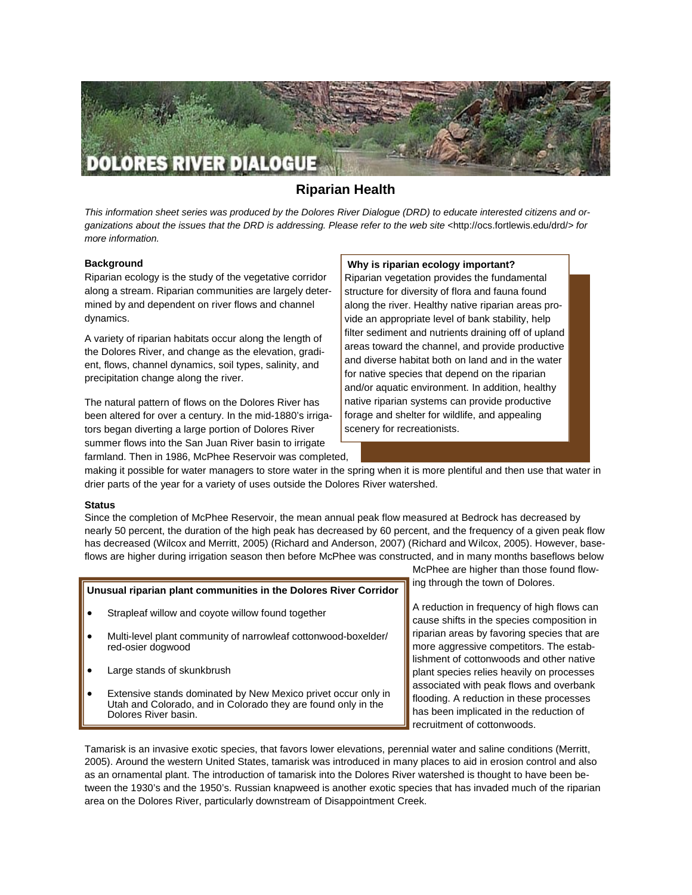

# **Riparian Health**

*This information sheet series was produced by the Dolores River Dialogue (DRD) to educate interested citizens and organizations about the issues that the DRD is addressing. Please refer to the web site <*http://ocs.fortlewis.edu/drd/*> for more information.* 

## **Background**

Riparian ecology is the study of the vegetative corridor along a stream. Riparian communities are largely determined by and dependent on river flows and channel dynamics.

A variety of riparian habitats occur along the length of the Dolores River, and change as the elevation, gradient, flows, channel dynamics, soil types, salinity, and precipitation change along the river.

The natural pattern of flows on the Dolores River has been altered for over a century. In the mid-1880's irrigators began diverting a large portion of Dolores River summer flows into the San Juan River basin to irrigate farmland. Then in 1986, McPhee Reservoir was completed,

# **Why is riparian ecology important?**

Riparian vegetation provides the fundamental structure for diversity of flora and fauna found along the river. Healthy native riparian areas provide an appropriate level of bank stability, help filter sediment and nutrients draining off of upland areas toward the channel, and provide productive and diverse habitat both on land and in the water for native species that depend on the riparian and/or aquatic environment. In addition, healthy native riparian systems can provide productive forage and shelter for wildlife, and appealing scenery for recreationists.

making it possible for water managers to store water in the spring when it is more plentiful and then use that water in drier parts of the year for a variety of uses outside the Dolores River watershed.

## **Status**

Since the completion of McPhee Reservoir, the mean annual peak flow measured at Bedrock has decreased by nearly 50 percent, the duration of the high peak has decreased by 60 percent, and the frequency of a given peak flow has decreased (Wilcox and Merritt, 2005) (Richard and Anderson, 2007) (Richard and Wilcox, 2005). However, baseflows are higher during irrigation season then before McPhee was constructed, and in many months baseflows below

## **Unusual riparian plant communities in the Dolores River Corridor**

- Strapleaf willow and coyote willow found together
- Multi-level plant community of narrowleaf cottonwood-boxelder/ red-osier dogwood
- Large stands of skunkbrush
- Extensive stands dominated by New Mexico privet occur only in Utah and Colorado, and in Colorado they are found only in the Dolores River basin.

McPhee are higher than those found flowing through the town of Dolores.

A reduction in frequency of high flows can cause shifts in the species composition in riparian areas by favoring species that are more aggressive competitors. The establishment of cottonwoods and other native plant species relies heavily on processes associated with peak flows and overbank flooding. A reduction in these processes has been implicated in the reduction of recruitment of cottonwoods.

Tamarisk is an invasive exotic species, that favors lower elevations, perennial water and saline conditions (Merritt, 2005). Around the western United States, tamarisk was introduced in many places to aid in erosion control and also as an ornamental plant. The introduction of tamarisk into the Dolores River watershed is thought to have been between the 1930's and the 1950's. Russian knapweed is another exotic species that has invaded much of the riparian area on the Dolores River, particularly downstream of Disappointment Creek.